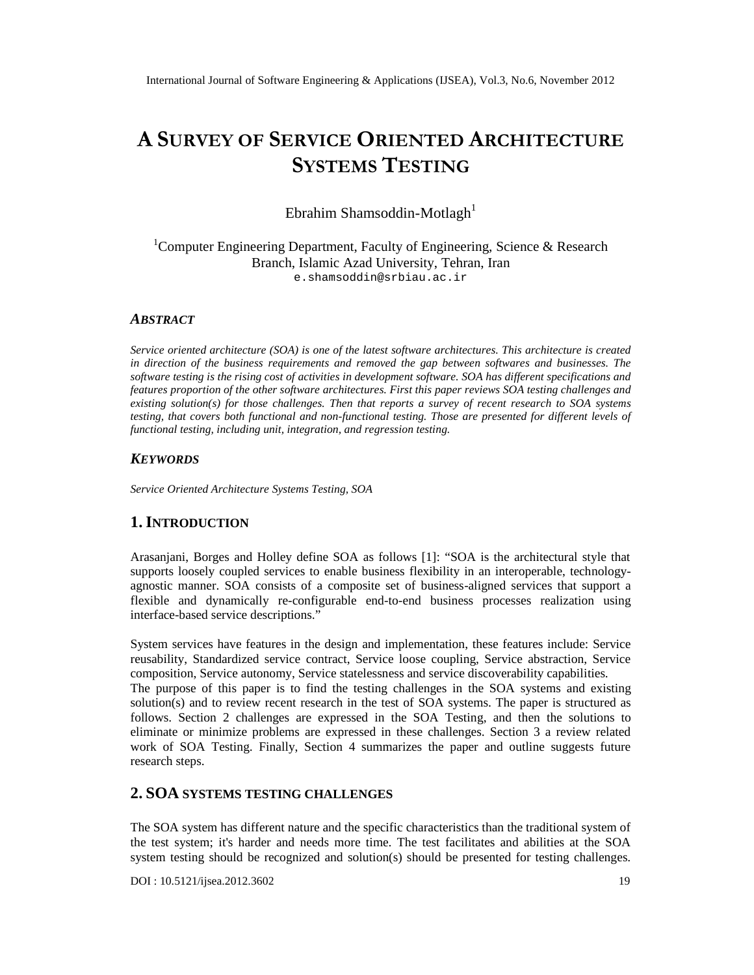# A SURVEY STERVIC ORIENTE ARCHITECTURE SYSTEMS STING

Ebrahim ShamsoddiMotlagh $1$ 

## <sup>1</sup>Computer Engineering Department, FacultvEatgineering, Science & Research Branch, Islamic Azad University, ehran, Iran e.[shamsoddin@srbiau.ac.ir](mailto:shamsoddin@srbiau.ac)

# **ABSTRACT**

Service oriented architecture (SOA) is one of the latest software architectures. This architecture is created in direction of the business requirements and removed the gap between softwares and businesses. The software testing is the rising cost of activities in development software. SOA has different specifications and features proportion of the other software architectures. First this paper reviews SOA testing challenges and existing solution(s) for those challers Then that reports a survey of recent research to SOA systems testing, that covers both functional and rianctional testing. Those are presented for different levels of functional testing, including unit, integration, and regression testing.

# **KEYWORDS**

Service Oriented Architecture Systems Testing, SOA

# 1.I NTRODUCTION

Arasanjani, Borges and Holley define SOA as follows [1]: €SOA is the architectural style that supports loosely coupled services to enable business flexibility in an interoperable deven agnostic manner. SOA consists of a composite set of businessed services that support a flexible and dynamically reconfigurable endo-end business processes realization using interfacebased service descriptions.•

System services have feats in the design and implementation, these features include: Service reusability, Standardized service contract, Service loose coupling, Service abstraction, Service compostion, Service autonomy, Service statelessness and service discoverability tiapabili The purpose of this papers to find the testing challenges in the SOA systems designing solution(s)and to review recent research in thest of SOA systems The paper is structured as follows. Section 2 challenges are expressed in the SOA  $\overline{\mathfrak{g}}$  estind thenthe solutions to eliminate or minimize problems are expressed in these challenges. Section 3 a review related work of SOA Testing. Finally, Section 4 summarizes the paper and outline suggests future research steps.

# 2.SOASYSTEMS TESTING CHAL LENGES

The SOA system has different nature and the specific characteristics than the traditional system of the test system; it's harder and needs more time. The test facilitates and abilities at the SOA system testing should be recognized and solution (s) also presented for testing challenges.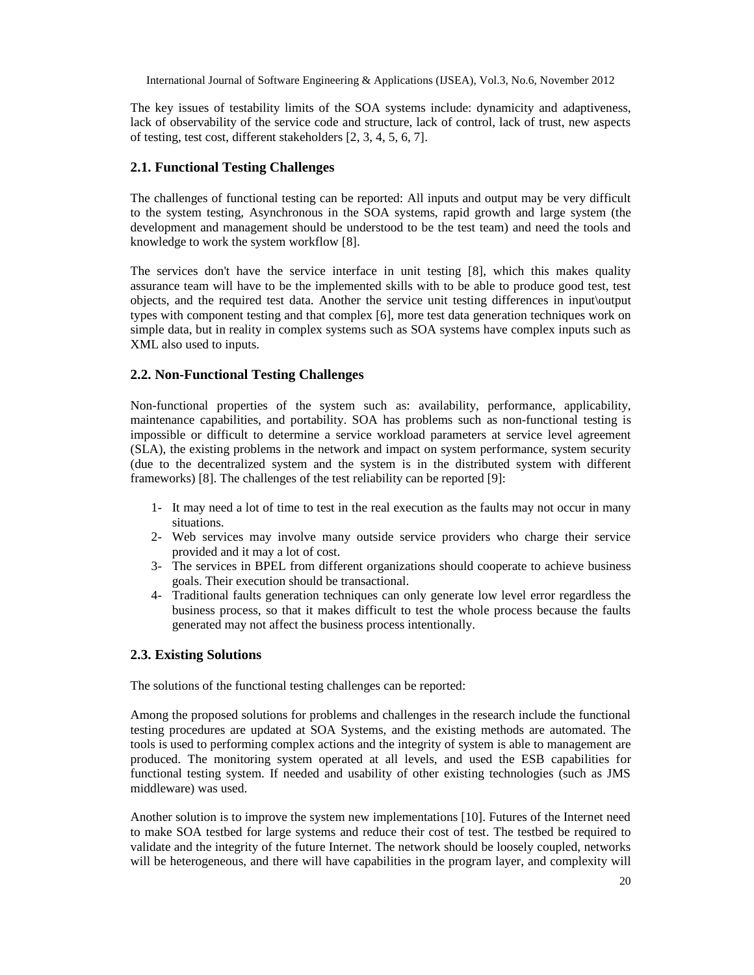The key issues of testability limits of the SOA systems include: dynamicity and adaptiveness, lack of observability of the service code and structure, lack of control, lack of trust, new aspects of testing, test cost, different stakeholders [2, 3, 4, 5, 6, 7].

## **2.1. Functional Testing Challenges**

The challenges of functional testing can be reported: All inputs and output may be very difficult to the system testing, Asynchronous in the SOA systems, rapid growth and large system (the development and management should be understood to be the test team) and need the tools and knowledge to work the system workflow [8].

The services don't have the service interface in unit testing [8], which this makes quality assurance team will have to be the implemented skills with to be able to produce good test, test objects, and the required test data. Another the service unit testing differences in input\output types with component testing and that complex [6], more test data generation techniques work on simple data, but in reality in complex systems such as SOA systems have complex inputs such as XML also used to inputs.

## **2.2. Non-Functional Testing Challenges**

Non-functional properties of the system such as: availability, performance, applicability, maintenance capabilities, and portability. SOA has problems such as non-functional testing is impossible or difficult to determine a service workload parameters at service level agreement (SLA), the existing problems in the network and impact on system performance, system security (due to the decentralized system and the system is in the distributed system with different frameworks) [8]. The challenges of the test reliability can be reported [9]:

- 1- It may need a lot of time to test in the real execution as the faults may not occur in many situations.
- 2- Web services may involve many outside service providers who charge their service provided and it may a lot of cost.
- 3- The services in BPEL from different organizations should cooperate to achieve business goals. Their execution should be transactional.
- 4- Traditional faults generation techniques can only generate low level error regardless the business process, so that it makes difficult to test the whole process because the faults generated may not affect the business process intentionally.

### **2.3. Existing Solutions**

The solutions of the functional testing challenges can be reported:

Among the proposed solutions for problems and challenges in the research include the functional testing procedures are updated at SOA Systems, and the existing methods are automated. The tools is used to performing complex actions and the integrity of system is able to management are produced. The monitoring system operated at all levels, and used the ESB capabilities for functional testing system. If needed and usability of other existing technologies (such as JMS middleware) was used.

Another solution is to improve the system new implementations [10]. Futures of the Internet need to make SOA testbed for large systems and reduce their cost of test. The testbed be required to validate and the integrity of the future Internet. The network should be loosely coupled, networks will be heterogeneous, and there will have capabilities in the program layer, and complexity will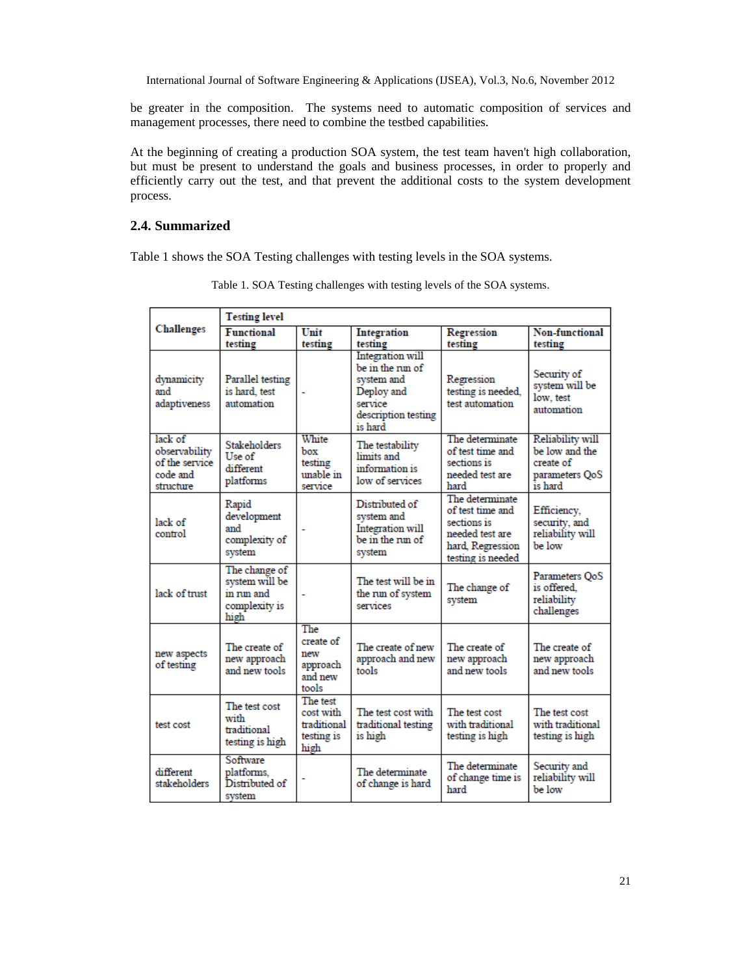be greater in the composition. The systems need to automatic composition of services and management processes, there need to combine the testbed capabilities.

At the beginning of creating a production SOA system, the test team haven't high collaboration, but must be present to understand the goals and business processes, in order to properly and efficiently carry out the test, and that prevent the additional costs to the system development process.

## **2.4. Summarized**

Table 1 shows the SOA Testing challenges with testing levels in the SOA systems.

| <b>Challenges</b>                                                   | <b>Testing level</b>                                                   |                                                            |                                                                                                                      |                                                                                                                |                                                                              |  |
|---------------------------------------------------------------------|------------------------------------------------------------------------|------------------------------------------------------------|----------------------------------------------------------------------------------------------------------------------|----------------------------------------------------------------------------------------------------------------|------------------------------------------------------------------------------|--|
|                                                                     | <b>Functional</b><br>testing                                           | Unit<br>testing                                            | Integration<br>testing                                                                                               | Regression<br>testing                                                                                          | <b>Non-functional</b><br>testing                                             |  |
| dynamicity<br>and<br>adaptiveness                                   | Parallel testing<br>is hard, test<br>automation                        |                                                            | <b>Integration</b> will<br>be in the run of<br>system and<br>Deploy and<br>service<br>description testing<br>is hard | Regression<br>testing is needed,<br>test automation                                                            | Security of<br>system will be<br>low, test<br>automation                     |  |
| lack of<br>observability<br>of the service<br>code and<br>structure | <b>Stakeholders</b><br>Use of<br>different<br>platforms                | White<br>box<br>testing<br>unable in<br>service            | The testability<br>limits and<br>information is<br>low of services                                                   | The determinate<br>of test time and<br>sections is<br>needed test are<br>hard                                  | Reliability will<br>be low and the<br>create of<br>parameters QoS<br>is hard |  |
| lack of<br>control                                                  | Rapid<br>development<br>and<br>complexity of<br>system                 |                                                            | Distributed of<br>system and<br>Integration will<br>be in the run of<br>system                                       | The determinate<br>of test time and<br>sections is<br>needed test are<br>hard. Regression<br>testing is needed | Efficiency,<br>security, and<br>reliability will<br>be low                   |  |
| lack of trust                                                       | The change of<br>system will be<br>in run and<br>complexity is<br>high |                                                            | The test will be in<br>the run of system<br>services                                                                 | The change of<br>system                                                                                        | Parameters OoS<br>is offered.<br>reliability<br>challenges                   |  |
| new aspects<br>of testing                                           | The create of<br>new approach<br>and new tools                         | The<br>create of<br>new<br>approach<br>and new<br>tools    | The create of new<br>approach and new<br>tools                                                                       | The create of<br>new approach<br>and new tools                                                                 | The create of<br>new approach<br>and new tools                               |  |
| test cost                                                           | The test cost<br>with<br>traditional<br>testing is high                | The test<br>cost with<br>traditional<br>testing is<br>high | The test cost with<br>traditional testing<br>is high                                                                 | The test cost<br>with traditional<br>testing is high                                                           | The test cost<br>with traditional<br>testing is high                         |  |
| different<br>stakeholders                                           | Software<br>platforms.<br>Distributed of<br>system                     |                                                            | The determinate<br>of change is hard                                                                                 | The determinate<br>of change time is<br>hard                                                                   | Security and<br>reliability will<br>be low                                   |  |

Table 1. SOA Testing challenges with testing levels of the SOA systems.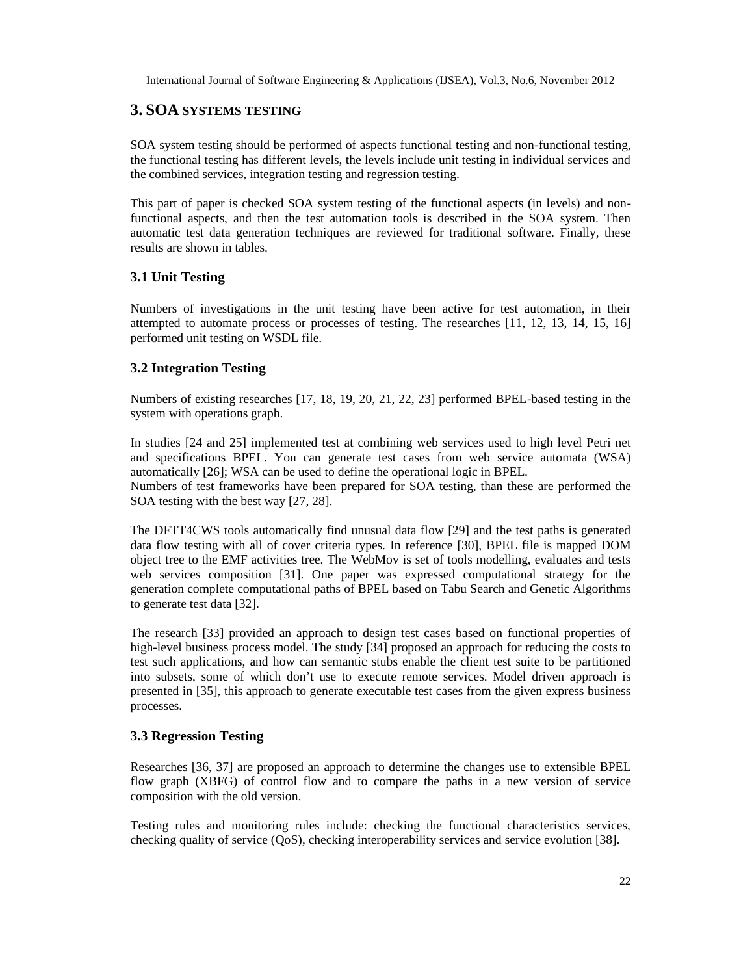# **3. SOA SYSTEMS TESTING**

SOA system testing should be performed of aspects functional testing and non-functional testing, the functional testing has different levels, the levels include unit testing in individual services and the combined services, integration testing and regression testing.

This part of paper is checked SOA system testing of the functional aspects (in levels) and nonfunctional aspects, and then the test automation tools is described in the SOA system. Then automatic test data generation techniques are reviewed for traditional software. Finally, these results are shown in tables.

## **3.1 Unit Testing**

Numbers of investigations in the unit testing have been active for test automation, in their attempted to automate process or processes of testing. The researches [11, 12, 13, 14, 15, 16] performed unit testing on WSDL file.

## **3.2 Integration Testing**

Numbers of existing researches [17, 18, 19, 20, 21, 22, 23] performed BPEL-based testing in the system with operations graph.

In studies [24 and 25] implemented test at combining web services used to high level Petri net and specifications BPEL. You can generate test cases from web service automata (WSA) automatically [26]; WSA can be used to define the operational logic in BPEL. Numbers of test frameworks have been prepared for SOA testing, than these are performed the

SOA testing with the best way [27, 28].

The DFTT4CWS tools automatically find unusual data flow [29] and the test paths is generated data flow testing with all of cover criteria types. In reference [30], BPEL file is mapped DOM object tree to the EMF activities tree. The WebMov is set of tools modelling, evaluates and tests web services composition [31]. One paper was expressed computational strategy for the generation complete computational paths of BPEL based on Tabu Search and Genetic Algorithms to generate test data [32].

The research [33] provided an approach to design test cases based on functional properties of high-level business process model. The study [34] proposed an approach for reducing the costs to test such applications, and how can semantic stubs enable the client test suite to be partitioned into subsets, some of which don't use to execute remote services. Model driven approach is presented in [35], this approach to generate executable test cases from the given express business processes.

### **3.3 Regression Testing**

Researches [36, 37] are proposed an approach to determine the changes use to extensible BPEL flow graph (XBFG) of control flow and to compare the paths in a new version of service composition with the old version.

Testing rules and monitoring rules include: checking the functional characteristics services, checking quality of service (QoS), checking interoperability services and service evolution [38].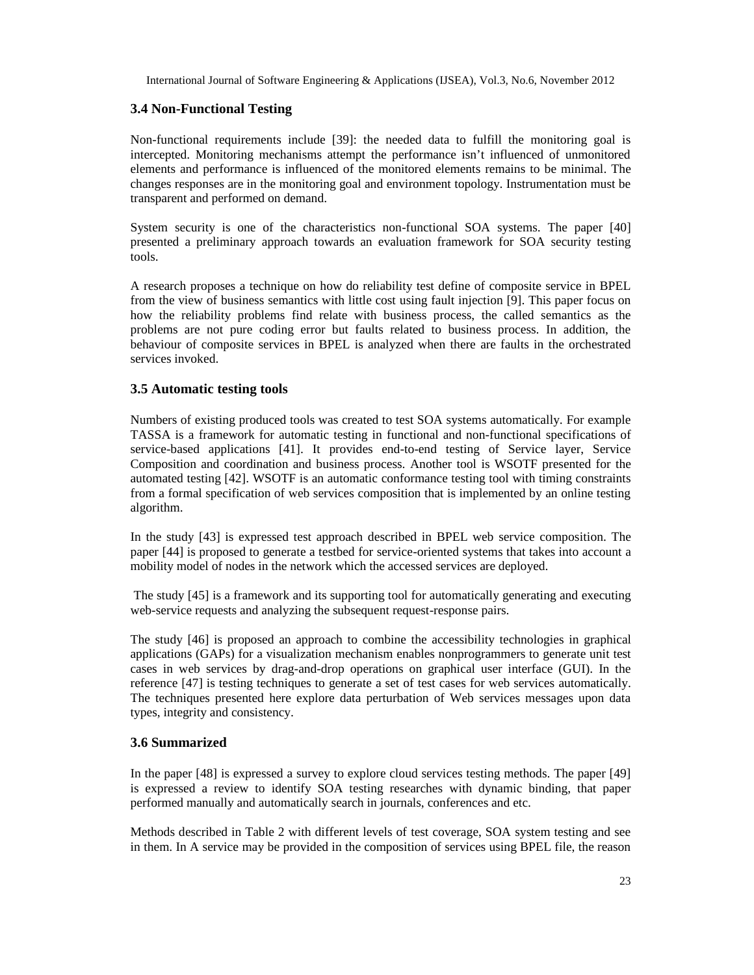## **3.4 Non-Functional Testing**

Non-functional requirements include [39]: the needed data to fulfill the monitoring goal is intercepted. Monitoring mechanisms attempt the performance isn't influenced of unmonitored elements and performance is influenced of the monitored elements remains to be minimal. The changes responses are in the monitoring goal and environment topology. Instrumentation must be transparent and performed on demand.

System security is one of the characteristics non-functional SOA systems. The paper [40] presented a preliminary approach towards an evaluation framework for SOA security testing tools.

A research proposes a technique on how do reliability test define of composite service in BPEL from the view of business semantics with little cost using fault injection [9]. This paper focus on how the reliability problems find relate with business process, the called semantics as the problems are not pure coding error but faults related to business process. In addition, the behaviour of composite services in BPEL is analyzed when there are faults in the orchestrated services invoked.

### **3.5 Automatic testing tools**

Numbers of existing produced tools was created to test SOA systems automatically. For example TASSA is a framework for automatic testing in functional and non-functional specifications of service-based applications [41]. It provides end-to-end testing of Service layer, Service Composition and coordination and business process. Another tool is WSOTF presented for the automated testing [42]. WSOTF is an automatic conformance testing tool with timing constraints from a formal specification of web services composition that is implemented by an online testing algorithm.

In the study [43] is expressed test approach described in BPEL web service composition. The paper [44] is proposed to generate a testbed for service-oriented systems that takes into account a mobility model of nodes in the network which the accessed services are deployed.

The study [45] is a framework and its supporting tool for automatically generating and executing web-service requests and analyzing the subsequent request-response pairs.

The study [46] is proposed an approach to combine the accessibility technologies in graphical applications (GAPs) for a visualization mechanism enables nonprogrammers to generate unit test cases in web services by drag-and-drop operations on graphical user interface (GUI). In the reference [47] is testing techniques to generate a set of test cases for web services automatically. The techniques presented here explore data perturbation of Web services messages upon data types, integrity and consistency.

### **3.6 Summarized**

In the paper [48] is expressed a survey to explore cloud services testing methods. The paper [49] is expressed a review to identify SOA testing researches with dynamic binding, that paper performed manually and automatically search in journals, conferences and etc.

Methods described in Table 2 with different levels of test coverage, SOA system testing and see in them. In A service may be provided in the composition of services using BPEL file, the reason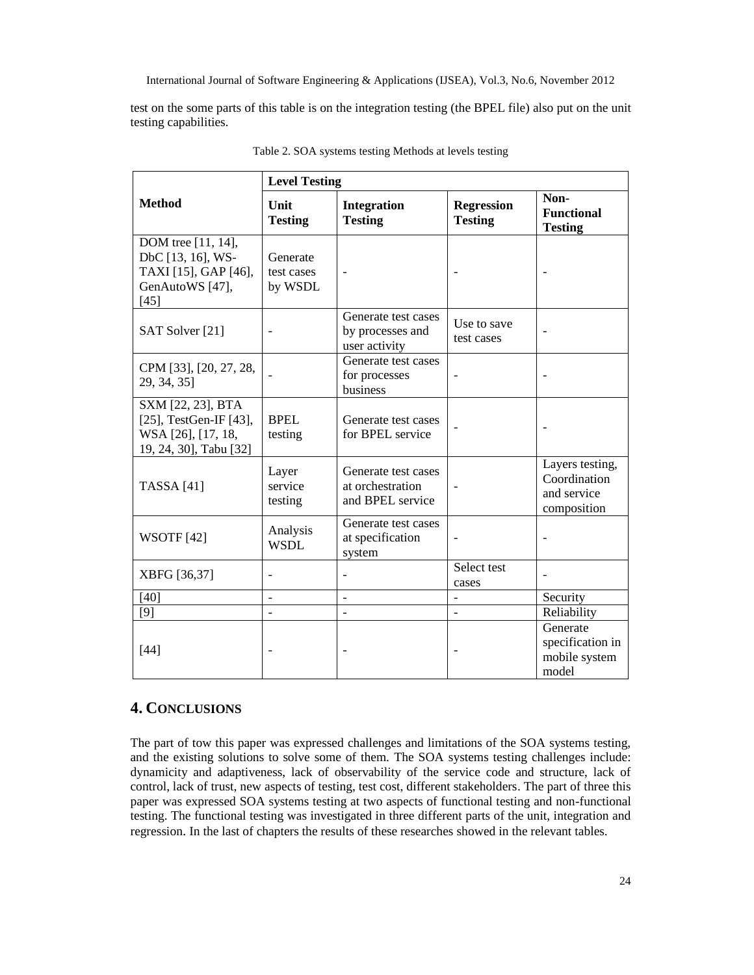test on the some parts of this table is on the integration testing (the BPEL file) also put on the unit testing capabilities.

|                                                                                                   | <b>Level Testing</b>              |                                                             |                                     |                                                               |  |  |
|---------------------------------------------------------------------------------------------------|-----------------------------------|-------------------------------------------------------------|-------------------------------------|---------------------------------------------------------------|--|--|
| <b>Method</b>                                                                                     | Unit<br><b>Testing</b>            | Integration<br><b>Testing</b>                               | <b>Regression</b><br><b>Testing</b> | Non-<br><b>Functional</b><br><b>Testing</b>                   |  |  |
| DOM tree [11, 14],<br>DbC [13, 16], WS-<br>TAXI [15], GAP [46],<br>GenAutoWS [47],<br>$[45]$      | Generate<br>test cases<br>by WSDL |                                                             |                                     |                                                               |  |  |
| SAT Solver [21]                                                                                   |                                   | Generate test cases<br>by processes and<br>user activity    | Use to save<br>test cases           |                                                               |  |  |
| CPM [33], [20, 27, 28,<br>29, 34, 35]                                                             |                                   | Generate test cases<br>for processes<br>business            | ÷                                   |                                                               |  |  |
| SXM [22, 23], BTA<br>$[25]$ , TestGen-IF $[43]$ ,<br>WSA [26], [17, 18,<br>19, 24, 30], Tabu [32] | <b>BPEL</b><br>testing            | Generate test cases<br>for BPEL service                     |                                     |                                                               |  |  |
| <b>TASSA</b> [41]                                                                                 | Layer<br>service<br>testing       | Generate test cases<br>at orchestration<br>and BPEL service |                                     | Layers testing,<br>Coordination<br>and service<br>composition |  |  |
| <b>WSOTF</b> [42]                                                                                 | Analysis<br><b>WSDL</b>           | Generate test cases<br>at specification<br>system           |                                     |                                                               |  |  |
| XBFG [36,37]                                                                                      |                                   |                                                             | Select test<br>cases                |                                                               |  |  |
| [40]                                                                                              | $\overline{\phantom{0}}$          | $\overline{a}$                                              | $\overline{\phantom{0}}$            | Security                                                      |  |  |
| [9]                                                                                               |                                   |                                                             | $\overline{a}$                      | Reliability                                                   |  |  |
| $[44]$                                                                                            |                                   |                                                             |                                     | Generate<br>specification in<br>mobile system<br>model        |  |  |

Table 2. SOA systems testing Methods at levels testing

# **4. CONCLUSIONS**

The part of tow this paper was expressed challenges and limitations of the SOA systems testing, and the existing solutions to solve some of them. The SOA systems testing challenges include: dynamicity and adaptiveness, lack of observability of the service code and structure, lack of control, lack of trust, new aspects of testing, test cost, different stakeholders. The part of three this paper was expressed SOA systems testing at two aspects of functional testing and non-functional testing. The functional testing was investigated in three different parts of the unit, integration and regression. In the last of chapters the results of these researches showed in the relevant tables.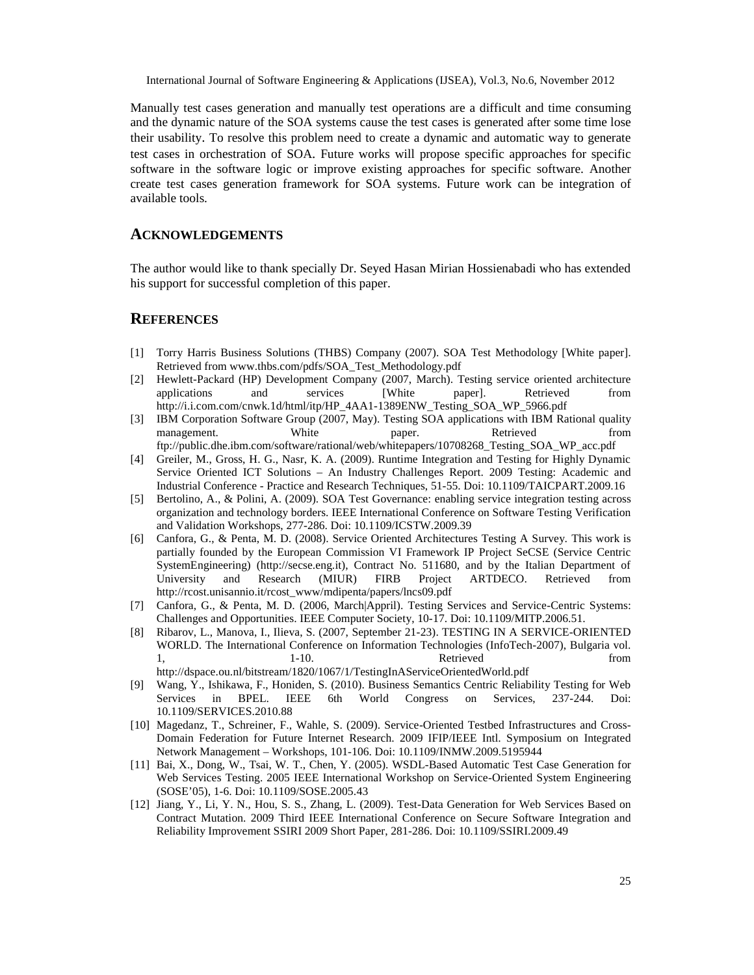Manually test cases generation and manually destations area difficult and time consuming and the dynamic nature of the SGAsters cause the test casissgenerated after some time lose their usability. To resolve this problem need to create a dynamic and automatic way to generate test cases in orchestration SOA. Future works will propose specific approaches for specific software in the software logic or improve existing approaches for frepoortware. Another create test cases generation framework  $SOR$  systems Future work can be integration of available tools.

# ACKNOWLEDGEMENTS

The author would like to thank specially Dr. Seyed Hasan Mirian Hossienabadi who has extended his support fo successful completion of this paper.

# **REFERENCES**

- [1] Torry Harris Business Solutions (THBS) Company (2007). SOA Test Methodology [White paper]. Retrieved fro[m www.thbs.com/pdfs/SOA\\_Test\\_Methodology](www.thbs.com/pdfs/SOA_Test_Methodology.pdf).pdf
- [2] Hewlett-Packard (HP) Development Company (2007arch). Testing service oriented architecture applications and services [White paper]. Retrieved from [http://i.i.com.com/cnwk.1d](http://i.i.com.com/cnwk.1d/)/html/itp/HP\_4AA1389ENW\_Testing\_SOA\_WP\_5966.pdf
- [3] IBM Corporation Software Group (2007, May). Testing SOA applications **IBM** Rational quality management. White paper. Retrieved from ftp://public.dhe.ibm.com/software/rational/web/whitepapers/10708268\_Testing\_SOA\_WP\_acc.pdf
- [4] Greiler, M., Gross, H. G., Nasr, K. A. (2009). Runtime Integration and Testing for Highly Dynamic Service Oriented ICT Solution ≰An Industry Challenges Report. 2009 Testing: Academic and Industrial Conference Practice and Research Techniques, 51 Doi: 10.1109/TAICPART.2009.16
- [5] Bertolino, A., & Polini, A. (2009). SOA Test Governance: enabliaryise integration testing across organization and technology borders. IEEE International Conference on Software Testing Verification and Validation Workshops, 27286. Doi: 10.1109/ICSTW.2009.39
- [6] Canfora, G., & Penta, M. D. (2008). Service Oriented **Atec**tures Testing A Survey. This work is partially founded by the European Commission VI Framework IP Project SeCSE (Service Centric SystemEngineering) [\(http://secse.en](http://secse.eng.it)g.it), Contract No. 511680, and by the Italian Department of University and Research (MR) FIRB Project ARTDECO. Retrieved from [http://rcost.unisannio.it/rcost\\_www/mdipenta/papers/lncs09](http://rcost.unisannio.it/rcost_www/mdipenta/papers/lncs09.pdf).pdf
- [7] Canfora, G., & Penta, M. D. (2006, March|Appril). Testing Services and Seceictric Systems: Challenges and Opportunities. IEEE Computer Society 7. Doi: 10.1109/MITP.2006.51.
- [8] Ribarov, L., Manova, I., Ilieva, S. (2007, Septembe 22). TESTING IN A SERVICEORIENTED WORLD. The International Conference on Information Technologies (Info $\overline{2006}$ ), Bulgaria vol. 1, 1.10. Contract to the set of the set of the set of the set of the set of the set of the set of the set of t [http://dspace.ou.nl/bitstream/1820/1067/1/TestingInAServiceOrientedWor](http://dspace.ou.nl/bitstream/1820/1067/1/TestingInAServiceOrientedWorld.pdf)ld.pdf
- [9] Wang, Y., Ishikawa, F., Honiden, S. (2010). Business Semantics Centric Reliability Testing for Web Services in BPEL. IEEE 6th World Congress on Services, -22477 Doi: 10.1109/SERVCES.2010.88
- [10] Magedanz, T., Schreiner, F., Wahle, S. (2009). Ser Oriented Testbed Infrastructures and Cross Domain Federation for Future Internet Research. 2009 IFIP/IEEE Intl. Symposium on Integrated Network Management Workshops, 10-1106. Doi: 101109/INMW.2009.5195944
- [11] Bai, X., Dong, W., Tsai, W. T., Chen, Y. (2005). WSBased Automatic Test Case Generation for Web Services Testing. 2005 IEEE International Workshop on SeDriented System Engineering (SOSE, 05), 16. Doi: 10.1109/SOSE. 20063.
- [12] Jiang, Y., Li, Y. N., Hou, S. S., Zhang, L. (2009). TDsta Generation for Web Services Based on Contract Mutation. 2009 Third IEEE International Conference on Secure Software Integration and Reliability Improvement SSIRI 2009 Short Paper, -286. Doi: 10.1109/SSIRI.2009.49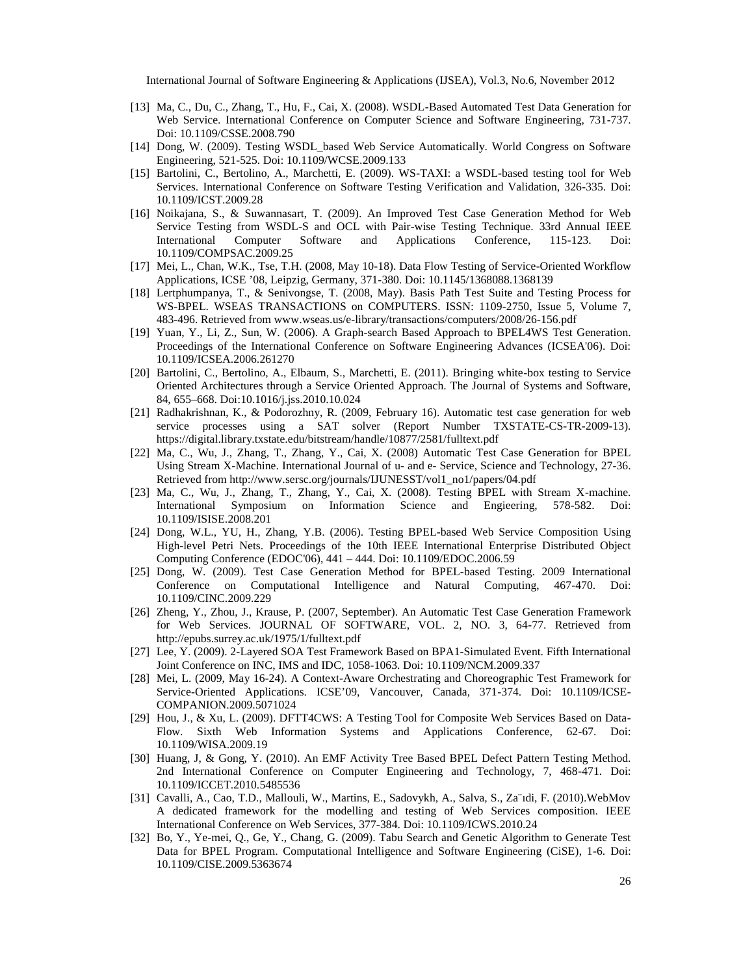- [13] Ma, C., Du, C., Zhang, T., Hu, F., Cai, X. (2008). WSBased Automated Test Data Generation for Web Service. International Conference on Computer Science and Software Engineerina7.731 Doi: 10.1109/CSSE.2008.790
- [14] Dong, W. (2009). Testing WSDL based Web Service Automatically. World Congress on Software Engineering, 52-625. Doi: 10.1109/WCSE.2009.133
- [15] Bartolini, C., Bertolino, A., Marchetti, E. (2009). WTSAXI: a WSDL-based testing tool for Web Services. Interational Conference on Software Testing Verification and Validation, 3326 Doi: 10.1109/ICST.2009.28
- [16] Noikajana, S., & Suwannasart, T. (2009). An Improved Test Case Generation Method for Web Service Testing from WSDS and OCL with Pairwise TestingTechnique. 33rd Annual IEEE International Computer Software and Applications Conference, 1235 Doi: 10.1109/COMPSAC.2009.25
- [17] Mei, L., Chan, W.K., Tse, T.H. (2008, May 10). Data Flow Testing of Serviceriented Workflow Applications, ICSE, 08, Lipzig, Germany, 37-880. Doi: 10.1145/1368088.1368139
- [18] Lertphumpanya, T., & Senivongse, T. (2008, May). Basis Path Test Suite and Testing Process for WS-BPEL. WSEAS TRANSACTIONS on COMPUTERS. ISSN: 1420250, Issue 5, Volume 7, 483-496. Retrieved fromwww.wseas.us/dibrary/transactions/computers/2008/266.pdf
- [19] Yuan, Y., Li, Z., Sun, W. (2006). A Grapstearch Based Approach to BPEL4WS Test Generation. Proceedings of the International Conference on Software Engineering Advances (ICSEA'06). Doi: 10.1109/ICSEA.2006.261270
- [20] Bartolini, C., Bertolino, A., Elbaum, S., Marchetti, E. (2011). Bringing white testing to Service Oriented Architectures through a Service Oriented Approach. The Journal of Systems and Software, 84, 655ƒ668. Doi:10.1016/j.jss.2010.10.024
- [21] Radhakrishnan, K., & Podorozhny, R. (2009, February 16). Automatic test case generation for web service processes using a SAT solver (Report Number TXSTOGSTER-200913). https://digital.library.txstate.edu/bitstream/handle/10877/258tekt.pdf
- [22] Ma, C., Wu, J., Zhang, T., Zhang, Y., Cai, X. (2008) Automatic Test Case Generation for BPEL Using Stream *Machine. International Journal of and e Service, Science and Technology*, 387. Retrieved from http://www.sersc.org/journals/INESST/vol1\_no1/papers/04.pdf
- [23] Ma, C., Wu, J., Zhang, T., Zhang, Y., Cai, X. (2008). Testing BPEL with Streamachine. International Symposium on Information Science and Engieering, -5828 Doi: 10.1109/ISISE.2008.201
- [24] Dong, W.L., YU, H., Zhang, Y.B. (2006). Testing BPE-based Web Service Composition Using High-level Petri Nets. Proceedings of the 10th IEEE International Enterprise Distributed Object Computing Conference (EDOC'06), 441ƒ 444. Doi: 10.1109/EDOC.2006.59
- [25] Dong, W. (2009). Test & Generation Method for BPE dased Testing. 2009 International Conference on Computational Intelligence and Natural Computing, -4746.7 Doi: 10.1109/CINC.2009.229
- [26] Zheng, Y., Zhou, J., Krause, P. (2007, September). An Automatic Test Case Generation of rk for Web Services. JOURNAL OF SOFTWARE, VOL. 2, NO. 3,-764 Retrieved from [http://epubs.surrey.ac.uk/1975/1/fulltext.](http://epubs.surrey.ac.uk/1975/1/fulltext.pdf)pdf
- [27] Lee, Y. (2009). *Layered SOA Test Framework Based on BPS induated Event. Fifth International* Joint Conference on INCMS and IDC, 10581063. Doi: 10.1109/NCM.2009.337
- [28] Mei, L. (2009, May 1624). A ContextAware Orchestrating and Choreographic Test Framework for ServiceOriented Applications. ICSE,09, Vancouver, Canada, -374. Doi: 10.1109/ICSE COMPANION.2009.507124
- [29] Hou, J., & Xu, L. (2009). DFTT4CWS: A Testing Tool for Composite Web Services Based on Data Flow. Sixth Web Information Systems and Applications Conference, 6762 Doi: 10.1109/WISA.2009.19
- [30] Huang, J, & Gong, Y. (2010). An EMF Activity Tree BasBPEL Defect Pattern Testing Method. 2nd International Conference on Computer Engineering and Technology, 747468Doi: 10.1109/ICCET.2010.5485536
- [31] Cavalli, A., Cao, T.D., Mallouli, W., Martins, E., Sadovykh, A., Salva, S., Za,...di, F. (2010).WebMov A dedicated framework for the modelling and testing of Web Services composition. IEEE International Conference on Web Services,-384. Doi: 10.1109/ICWS010.24
- [32] Bo, Y., Yemei, Q., Ge, Y., Chang, G. (2009). Tabu Search and Genetic Algorithm to Generate Test Data for BPEL Program. Computational Intelligence and Software Engineering (CiSE)Ddi: 10.1109/CISE.2009.5363674